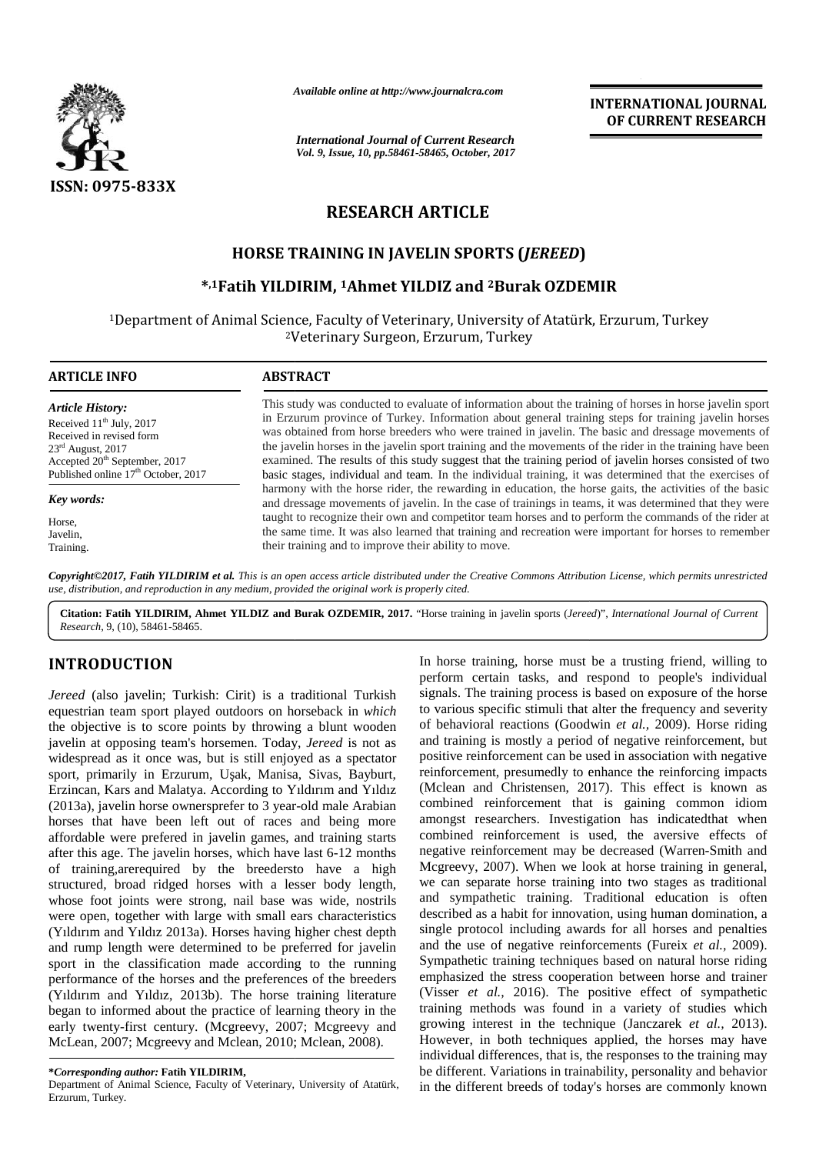

*Available online at http://www.journalcra.com*

*International Journal of Current Research Vol. 9, Issue, 10, pp.58461-58465, October, 2017* **INTERNATIONAL JOURNAL OF CURRENT RESEARCH**

# **RESEARCH ARTICLE**

## **HORSE TRAINING IN JAVELIN SPORTS (***JEREED***) TRAINING IN JAVELIN SPORTS (**

## **\* ,1Fatih YILDIRIM, <sup>1</sup>Ahmet YILDIZ and <sup>2</sup>Burak OZDEMIR**

<sup>1</sup>Department of Animal Science, Faculty of Veterinary, University of Atatürk, Erzurum, Turkey of Animal Science, Faculty of Veterinary, University of Atatürl<br><sup>2</sup>Veterinary Surgeon, Erzurum, Turkey

| <b>ARTICLE INFO</b>                             | <b>ABSTRACT</b>                                                                                                                                                                                                  |  |  |  |  |  |
|-------------------------------------------------|------------------------------------------------------------------------------------------------------------------------------------------------------------------------------------------------------------------|--|--|--|--|--|
| <b>Article History:</b>                         | This study was conducted to evaluate of information about the training of horses in horse javelin sport                                                                                                          |  |  |  |  |  |
| Received $11th$ July, 2017                      | in Erzurum province of Turkey. Information about general training steps for training javelin horses                                                                                                              |  |  |  |  |  |
| Received in revised form                        | was obtained from horse breeders who were trained in javelin. The basic and dressage movements of                                                                                                                |  |  |  |  |  |
| $23rd$ August, 2017                             | the javelin horses in the javelin sport training and the movements of the rider in the training have been                                                                                                        |  |  |  |  |  |
| Accepted 20 <sup>th</sup> September, 2017       | examined. The results of this study suggest that the training period of javelin horses consisted of two                                                                                                          |  |  |  |  |  |
| Published online 17 <sup>th</sup> October, 2017 | basic stages, individual and team. In the individual training, it was determined that the exercises of                                                                                                           |  |  |  |  |  |
| Key words:                                      | harmony with the horse rider, the rewarding in education, the horse gaits, the activities of the basic<br>and dressage movements of javelin. In the case of trainings in teams, it was determined that they were |  |  |  |  |  |
| Horse.                                          | taught to recognize their own and competitor team horses and to perform the commands of the rider at                                                                                                             |  |  |  |  |  |
| Javelin,                                        | the same time. It was also learned that training and recreation were important for horses to remember                                                                                                            |  |  |  |  |  |
| Training.                                       | their training and to improve their ability to move.                                                                                                                                                             |  |  |  |  |  |

*Copyright©2017, Fatih YILDIRIM et al. This is an open access article distributed under the Creative Commons Attribution License, which permits unrestricted* Copyright©2017, Fatih YILDIRIM et al. This is an open access article distributed under the Creative<br>use, distribution, and reproduction in any medium, provided the original work is properly cited.

**Citation: Fatih YILDIRIM, Ahmet YILDIZ and Burak OZDEMIR, 2017.** "Horse training in javelin sports (*Jereed*)", *International Journal of Current Research*, 9, (10), 58461-58465.

# **INTRODUCTION INTRODUCTION**

*Jereed* (also javelin; Turkish: Cirit) is a traditional Turkish equestrian team sport played outdoors on horseback in *which* the objective is to score points by throwing a blunt wooden of be javelin at opposing team's horsemen. Today, *Jereed* is not as widespread as it once was, but is still enjoyed as a spectator po sport, primarily in Erzurum, U ak, Manisa, Sivas, Bayburt, Erzincan, Kars and Malatya. According to Yıldırım and Yıldız (Mo (2013a), javelin horse ownersprefer to 3 year-old male Arabian (2013a), javelin horse ownersprefer to 3 year-old male Arabian com<br>horses that have been left out of races and being more amo affordable were prefered in javelin games, and training starts after this age. The javelin horses, which have last 6-12 months of training,arerequired by the breedersto have a high structured, broad ridged horses with a lesser body length, whose foot joints were strong, nail base was wide, nostrils and were open, together with large with small ears characteristics (Yıldırım and Yıldız 2013a). Horses having higher chest depth and rump length were determined to be preferred for javelin and sport in the classification made according to the running performance of the horses and the preferences of the breeders (Yıldırım and Yıldız, 2013b). The horse training literature began to informed about the practice of learning theory in the train early twenty-first century. (Mcgreevy, 2007; Mcgreevy and McLean, 2007; Mcgreevy and Mclean, 2010; Mclean, 2008). *Jereed* (also javelin; Turkish: Cirit) is a traditiona equestrian team sport played outdoors on horseback the objective is to score points by throwing a blun javelin at opposing team's horsemen. Today, *Jereed* affordable were prefered in javelin games, and trainin<br>after this age. The javelin horses, which have last 6-12<br>of training,arerequired by the breedersto have<br>structured, broad ridged horses with a lesser body<br>whose foot j (Yıldırım and Yıldız 2013a). Horses having higher chand rump length were determined to be preferred fo<br>sport in the classification made according to the<br>performance of the horses and the preferences of the (Yıldırım and Yıldız, 2013b). The horse training began to informed about the practice of learning the early twenty-first century. (Mcgreevy, 2007; Mcgr<br>McLean, 2007; Mcgreevy and Mclean, 2010; Mclean

#### **\****Corresponding author:* **Fatih YILDIRIM, \****Corresponding*

Department of Animal Science, Faculty of Veterinary, University of Atatürk, Erzurum, Turkey.

In horse training, horse must be a trusting friend, willing to perform certain tasks, and respond to people's individual signals. The training process is based on exposure of the horse to various specific stimuli that alter the frequency and severity of behavioral reactions (Goodwin *et al.,* 2009). Horse riding and training is mostly a period of negative reinforcement, but positive reinforcement can be used in association with negative reinforcement, presumedly to enhance the reinforcing impacts (Mclean and Christensen, 2017). This effect is known as combined reinforcement that is gaining common idiom amongst researchers. Investigation has indicatedthat when combined reinforcement is used, the aversive effects of negative reinforcement may be decreased (Warren-Smith and Mcgreevy, 2007). When we look at horse training in general, we can separate horse training into two stages as traditional and sympathetic training. Traditional education is often described as a habit for innovation, using human domination, a single protocol including awards for all horses and penalties and the use of negative reinforcements (Fureix *et al.,* 2009). Sympathetic training techniques based on natural horse riding emphasized the stress cooperation between horse and trainer (Visser *et al.,* 2016). The positive effect of sympathetic training methods was found in a variety of studies which growing interest in the technique (Janczarek *et al.,* 2013). However, in both techniques applied, the horses may have individual differences, that is, the responses to the training may be different. Variations in trainability, personality and behavior in the different breeds of today's horses are commonly known **INTRODUCTION**<br>
In horse training horse can are them as the product of the anti-magnetic and the specific method of the property and the energy (and property and equation capacity are property and equation (and the energy **EXERCISE TRAINING INTERNATIONAL CONTRATIONS OF THE CONSULTER CONTRATION CONTRATIONS (TRAINING INTERNATIONAL CONTRATION)<br>
TRESPARCH ARTICLE <b>INTERNATIONAL CONTRATION**<br>
TRESPARCH ARTICLE **INTERNATIONAL CONTRATION CONTRATIO** lle Arabian combined reinforcement that is gaining<br>eing more amongst researchers. Investigation has in<br>ning starts combined reinforcement is used, the av-<br>12 months negative reinforcement may be decreased (V<br>e a high Mcgr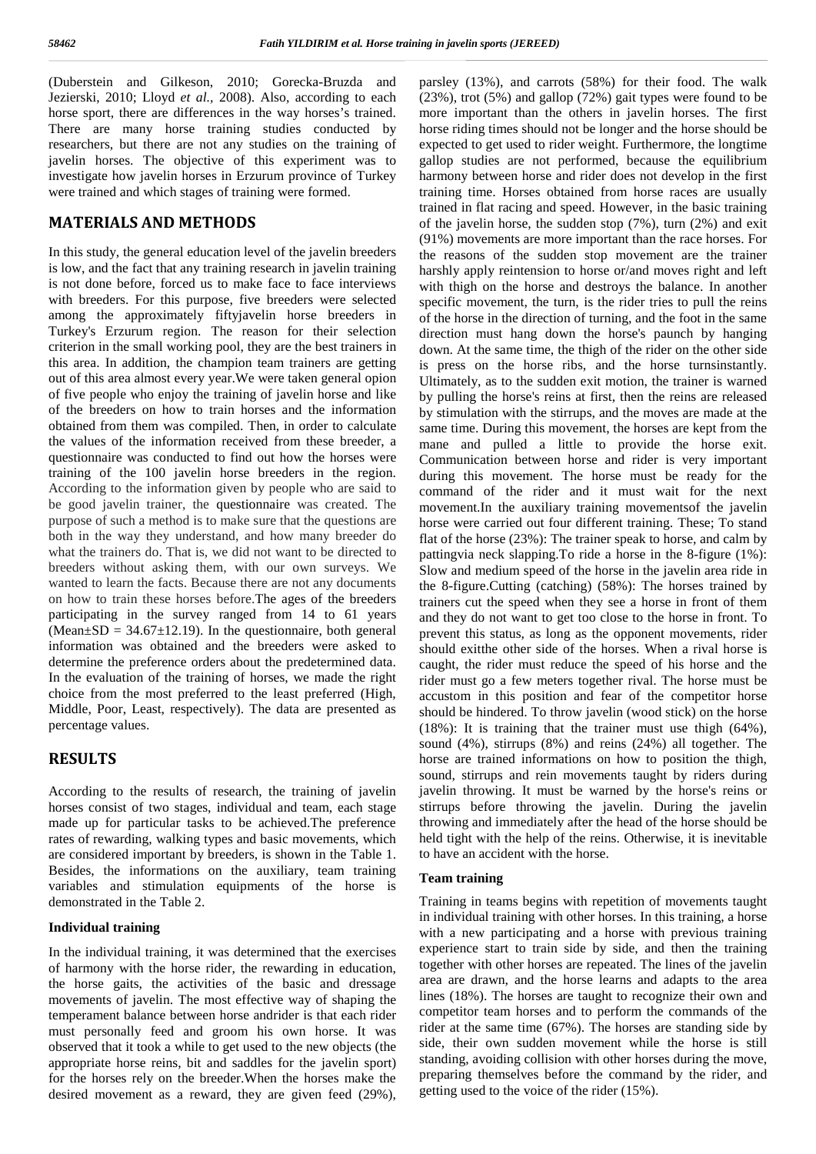(Duberstein and Gilkeson, 2010; Gorecka-Bruzda and Jezierski, 2010; Lloyd *et al.,* 2008). Also, according to each horse sport, there are differences in the way horses's trained. There are many horse training studies conducted by researchers, but there are not any studies on the training of javelin horses. The objective of this experiment was to investigate how javelin horses in Erzurum province of Turkey were trained and which stages of training were formed.

### **MATERIALS AND METHODS**

In this study, the general education level of the javelin breeders is low, and the fact that any training research in javelin training is not done before, forced us to make face to face interviews with breeders. For this purpose, five breeders were selected among the approximately fiftyjavelin horse breeders in Turkey's Erzurum region. The reason for their selection criterion in the small working pool, they are the best trainers in this area. In addition, the champion team trainers are getting out of this area almost every year.We were taken general opion of five people who enjoy the training of javelin horse and like of the breeders on how to train horses and the information obtained from them was compiled. Then, in order to calculate the values of the information received from these breeder, a questionnaire was conducted to find out how the horses were training of the 100 javelin horse breeders in the region. According to the information given by people who are said to be good javelin trainer, the questionnaire was created. The purpose of such a method is to make sure that the questions are both in the way they understand, and how many breeder do what the trainers do. That is, we did not want to be directed to breeders without asking them, with our own surveys. We wanted to learn the facts. Because there are not any documents on how to train these horses before.The ages of the breeders participating in the survey ranged from 14 to 61 years (Mean $\pm$ SD = 34.67 $\pm$ 12.19). In the questionnaire, both general information was obtained and the breeders were asked to determine the preference orders about the predetermined data. In the evaluation of the training of horses, we made the right choice from the most preferred to the least preferred (High, Middle, Poor, Least, respectively). The data are presented as percentage values.

## **RESULTS**

According to the results of research, the training of javelin horses consist of two stages, individual and team, each stage made up for particular tasks to be achieved.The preference rates of rewarding, walking types and basic movements, which are considered important by breeders, is shown in the Table 1. Besides, the informations on the auxiliary, team training variables and stimulation equipments of the horse is demonstrated in the Table 2.

### **Individual training**

In the individual training, it was determined that the exercises of harmony with the horse rider, the rewarding in education, the horse gaits, the activities of the basic and dressage movements of javelin. The most effective way of shaping the temperament balance between horse andrider is that each rider must personally feed and groom his own horse. It was observed that it took a while to get used to the new objects (the appropriate horse reins, bit and saddles for the javelin sport) for the horses rely on the breeder.When the horses make the desired movement as a reward, they are given feed (29%), parsley (13%), and carrots (58%) for their food. The walk (23%), trot (5%) and gallop (72%) gait types were found to be more important than the others in javelin horses. The first horse riding times should not be longer and the horse should be expected to get used to rider weight. Furthermore, the longtime gallop studies are not performed, because the equilibrium harmony between horse and rider does not develop in the first training time. Horses obtained from horse races are usually trained in flat racing and speed. However, in the basic training of the javelin horse, the sudden stop (7%), turn (2%) and exit (91%) movements are more important than the race horses. For the reasons of the sudden stop movement are the trainer harshly apply reintension to horse or/and moves right and left with thigh on the horse and destroys the balance. In another specific movement, the turn, is the rider tries to pull the reins of the horse in the direction of turning, and the foot in the same direction must hang down the horse's paunch by hanging down. At the same time, the thigh of the rider on the other side is press on the horse ribs, and the horse turnsinstantly. Ultimately, as to the sudden exit motion, the trainer is warned by pulling the horse's reins at first, then the reins are released by stimulation with the stirrups, and the moves are made at the same time. During this movement, the horses are kept from the mane and pulled a little to provide the horse exit. Communication between horse and rider is very important during this movement. The horse must be ready for the command of the rider and it must wait for the next movement.In the auxiliary training movementsof the javelin horse were carried out four different training. These; To stand flat of the horse (23%): The trainer speak to horse, and calm by pattingvia neck slapping.To ride a horse in the 8-figure (1%): Slow and medium speed of the horse in the javelin area ride in the 8-figure.Cutting (catching) (58%): The horses trained by trainers cut the speed when they see a horse in front of them and they do not want to get too close to the horse in front. To prevent this status, as long as the opponent movements, rider should exitthe other side of the horses. When a rival horse is caught, the rider must reduce the speed of his horse and the rider must go a few meters together rival. The horse must be accustom in this position and fear of the competitor horse should be hindered. To throw javelin (wood stick) on the horse (18%): It is training that the trainer must use thigh (64%), sound (4%), stirrups (8%) and reins (24%) all together. The horse are trained informations on how to position the thigh, sound, stirrups and rein movements taught by riders during javelin throwing. It must be warned by the horse's reins or stirrups before throwing the javelin. During the javelin throwing and immediately after the head of the horse should be held tight with the help of the reins. Otherwise, it is inevitable to have an accident with the horse.

### **Team training**

Training in teams begins with repetition of movements taught in individual training with other horses. In this training, a horse with a new participating and a horse with previous training experience start to train side by side, and then the training together with other horses are repeated. The lines of the javelin area are drawn, and the horse learns and adapts to the area lines (18%). The horses are taught to recognize their own and competitor team horses and to perform the commands of the rider at the same time (67%). The horses are standing side by side, their own sudden movement while the horse is still standing, avoiding collision with other horses during the move, preparing themselves before the command by the rider, and getting used to the voice of the rider (15%).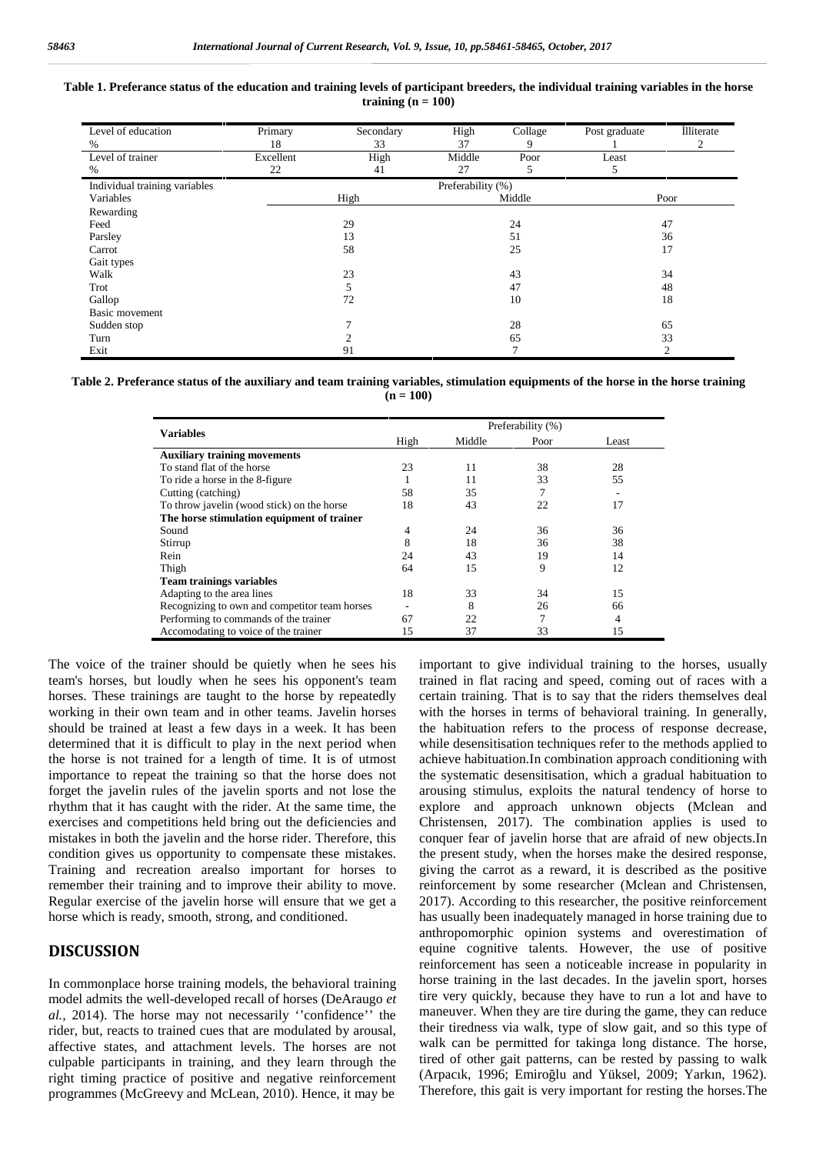| Table 1. Preferance status of the education and training levels of participant breeders, the individual training variables in the horse |  |
|-----------------------------------------------------------------------------------------------------------------------------------------|--|
| training $(n = 100)$                                                                                                                    |  |

| Level of education            | Primary           | Secondary | High   | Collage       | Post graduate | lliterate |  |
|-------------------------------|-------------------|-----------|--------|---------------|---------------|-----------|--|
| %                             | 18                | 33        | 37     | 9             |               | 2         |  |
| Level of trainer              | Excellent         | High      | Middle | Poor          | Least         |           |  |
| %                             | 22                | 41        | 27     | 5             | 5             |           |  |
| Individual training variables | Preferability (%) |           |        |               |               |           |  |
| Variables                     | High              |           | Middle |               | Poor          |           |  |
| Rewarding                     |                   |           |        |               |               |           |  |
| Feed                          | 29                |           | 24     |               | 47            |           |  |
| Parsley                       | 13                |           | 51     |               | 36            |           |  |
| Carrot                        | 58                |           | 25     |               | 17            |           |  |
| Gait types                    |                   |           |        |               |               |           |  |
| Walk                          | 23                |           | 43     |               | 34            |           |  |
| Trot                          | 5                 |           | 47     |               | 48            |           |  |
| Gallop                        | 72                |           | 10     |               | 18            |           |  |
| Basic movement                |                   |           |        |               |               |           |  |
| Sudden stop                   |                   |           | 28     |               | 65            |           |  |
| Turn                          |                   |           | 65     |               | 33            |           |  |
| Exit                          |                   | 91        |        | $\mathcal{I}$ |               | ◠         |  |

**Table 2. Preferance status of the auxiliary and team training variables, stimulation equipments of the horse in the horse training**  $(n = 100)$ 

|                                               | Preferability (%) |        |      |       |  |
|-----------------------------------------------|-------------------|--------|------|-------|--|
| <b>Variables</b>                              | High              | Middle | Poor | Least |  |
| <b>Auxiliary training movements</b>           |                   |        |      |       |  |
| To stand flat of the horse                    | 23                | 11     | 38   | 28    |  |
| To ride a horse in the 8-figure               |                   | 11     | 33   | 55    |  |
| Cutting (catching)                            | 58                | 35     |      |       |  |
| To throw javelin (wood stick) on the horse    | 18                | 43     | 22   | 17    |  |
| The horse stimulation equipment of trainer    |                   |        |      |       |  |
| Sound                                         | 4                 | 24     | 36   | 36    |  |
| Stirrup                                       | 8                 | 18     | 36   | 38    |  |
| Rein                                          | 24                | 43     | 19   | 14    |  |
| Thigh                                         | 64                | 15     | 9    | 12    |  |
| <b>Team trainings variables</b>               |                   |        |      |       |  |
| Adapting to the area lines                    | 18                | 33     | 34   | 15    |  |
| Recognizing to own and competitor team horses |                   | 8      | 26   | 66    |  |
| Performing to commands of the trainer         | 67                | 22     |      | 4     |  |
| Accomodating to voice of the trainer          | 15                | 37     | 33   | 15    |  |

The voice of the trainer should be quietly when he sees his team's horses, but loudly when he sees his opponent's team horses. These trainings are taught to the horse by repeatedly working in their own team and in other teams. Javelin horses should be trained at least a few days in a week. It has been determined that it is difficult to play in the next period when the horse is not trained for a length of time. It is of utmost importance to repeat the training so that the horse does not forget the javelin rules of the javelin sports and not lose the rhythm that it has caught with the rider. At the same time, the exercises and competitions held bring out the deficiencies and mistakes in both the javelin and the horse rider. Therefore, this condition gives us opportunity to compensate these mistakes. Training and recreation arealso important for horses to remember their training and to improve their ability to move. Regular exercise of the javelin horse will ensure that we get a horse which is ready, smooth, strong, and conditioned.

## **DISCUSSION**

In commonplace horse training models, the behavioral training model admits the well-developed recall of horses (DeAraugo *et al.,* 2014). The horse may not necessarily ''confidence'' the rider, but, reacts to trained cues that are modulated by arousal, affective states, and attachment levels. The horses are not culpable participants in training, and they learn through the right timing practice of positive and negative reinforcement programmes (McGreevy and McLean, 2010). Hence, it may be

important to give individual training to the horses, usually trained in flat racing and speed, coming out of races with a certain training. That is to say that the riders themselves deal with the horses in terms of behavioral training. In generally, the habituation refers to the process of response decrease, while desensitisation techniques refer to the methods applied to achieve habituation.In combination approach conditioning with the systematic desensitisation, which a gradual habituation to arousing stimulus, exploits the natural tendency of horse to explore and approach unknown objects (Mclean and Christensen, 2017). The combination applies is used to conquer fear of javelin horse that are afraid of new objects.In the present study, when the horses make the desired response, giving the carrot as a reward, it is described as the positive reinforcement by some researcher (Mclean and Christensen, 2017). According to this researcher, the positive reinforcement has usually been inadequately managed in horse training due to anthropomorphic opinion systems and overestimation of equine cognitive talents. However, the use of positive reinforcement has seen a noticeable increase in popularity in horse training in the last decades. In the javelin sport, horses tire very quickly, because they have to run a lot and have to maneuver. When they are tire during the game, they can reduce their tiredness via walk, type of slow gait, and so this type of walk can be permitted for takinga long distance. The horse, tired of other gait patterns, can be rested by passing to walk (Arpacık, 1996; Emiro lu and Yüksel, 2009; Yarkın, 1962). Therefore, this gait is very important for resting the horses.The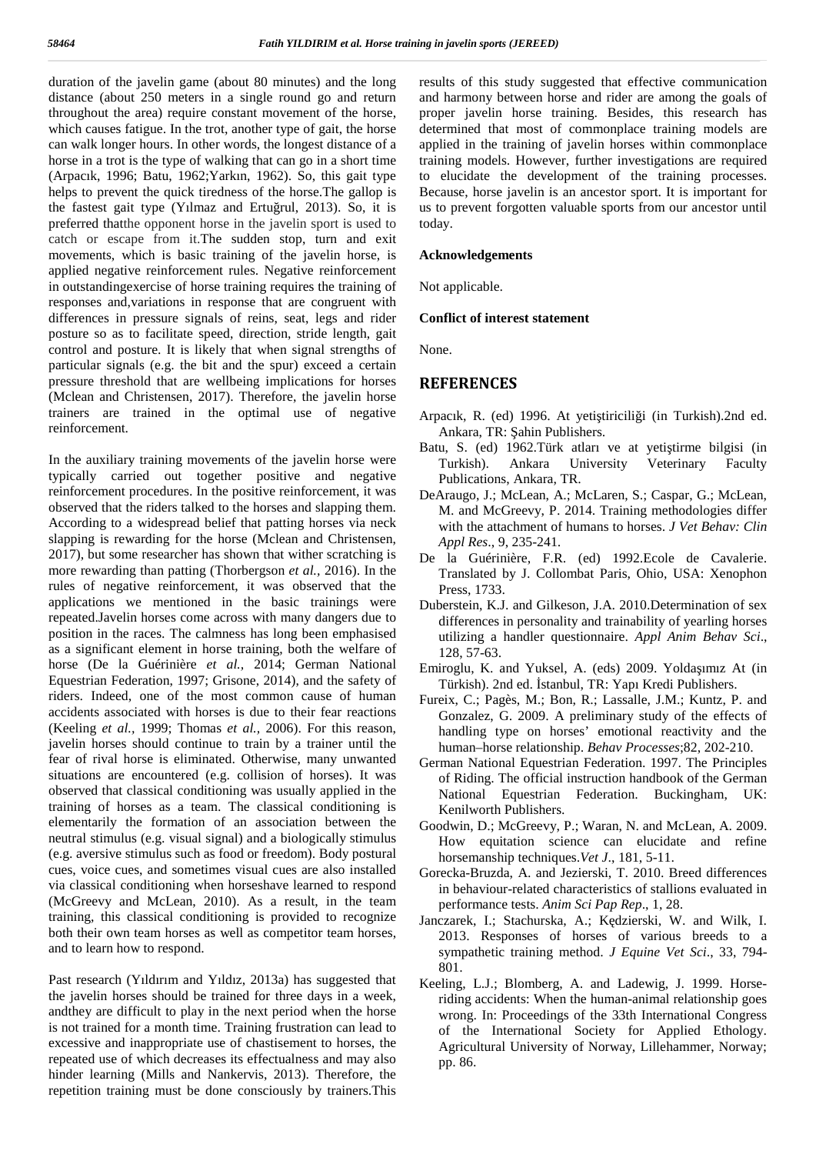duration of the javelin game (about 80 minutes) and the long distance (about 250 meters in a single round go and return throughout the area) require constant movement of the horse, which causes fatigue. In the trot, another type of gait, the horse can walk longer hours. In other words, the longest distance of a horse in a trot is the type of walking that can go in a short time (Arpacık, 1996; Batu, 1962;Yarkın, 1962). So, this gait type helps to prevent the quick tiredness of the horse.The gallop is the fastest gait type (Yilmaz and Ertu rul, 2013). So, it is preferred thatthe opponent horse in the javelin sport is used to catch or escape from it.The sudden stop, turn and exit movements, which is basic training of the javelin horse, is applied negative reinforcement rules. Negative reinforcement in outstandingexercise of horse training requires the training of responses and,variations in response that are congruent with differences in pressure signals of reins, seat, legs and rider posture so as to facilitate speed, direction, stride length, gait control and posture. It is likely that when signal strengths of particular signals (e.g. the bit and the spur) exceed a certain pressure threshold that are wellbeing implications for horses (Mclean and Christensen, 2017). Therefore, the javelin horse trainers are trained in the optimal use of negative reinforcement.

In the auxiliary training movements of the javelin horse were  $\frac{1}{\text{Turkish}}$ typically carried out together positive and negative reinforcement procedures. In the positive reinforcement, it was observed that the riders talked to the horses and slapping them. According to a widespread belief that patting horses via neck slapping is rewarding for the horse (Mclean and Christensen, 2017), but some researcher has shown that wither scratching is more rewarding than patting (Thorbergson *et al.,* 2016). In the rules of negative reinforcement, it was observed that the applications we mentioned in the basic trainings were repeated.Javelin horses come across with many dangers due to position in the races. The calmness has long been emphasised as a significant element in horse training, both the welfare of horse (De la Guérinière *et al.,* 2014; German National Equestrian Federation, 1997; Grisone, 2014), and the safety of riders. Indeed, one of the most common cause of human accidents associated with horses is due to their fear reactions (Keeling *et al.,* 1999; Thomas *et al.,* 2006). For this reason, javelin horses should continue to train by a trainer until the fear of rival horse is eliminated. Otherwise, many unwanted situations are encountered (e.g. collision of horses). It was observed that classical conditioning was usually applied in the training of horses as a team. The classical conditioning is elementarily the formation of an association between the neutral stimulus (e.g. visual signal) and a biologically stimulus (e.g. aversive stimulus such as food or freedom). Body postural cues, voice cues, and sometimes visual cues are also installed via classical conditioning when horseshave learned to respond (McGreevy and McLean, 2010). As a result, in the team training, this classical conditioning is provided to recognize both their own team horses as well as competitor team horses, and to learn how to respond.

Past research (Yıldırım and Yıldız, 2013a) has suggested that the javelin horses should be trained for three days in a week, andthey are difficult to play in the next period when the horse is not trained for a month time. Training frustration can lead to excessive and inappropriate use of chastisement to horses, the repeated use of which decreases its effectualness and may also hinder learning (Mills and Nankervis, 2013). Therefore, the repetition training must be done consciously by trainers.This

results of this study suggested that effective communication and harmony between horse and rider are among the goals of proper javelin horse training. Besides, this research has determined that most of commonplace training models are applied in the training of javelin horses within commonplace training models. However, further investigations are required to elucidate the development of the training processes. Because, horse javelin is an ancestor sport. It is important for us to prevent forgotten valuable sports from our ancestor until today.

#### **Acknowledgements**

Not applicable.

#### **Conflict of interest statement**

None.

### **REFERENCES**

- Arpacık, R. (ed) 1996. At yeti tiricili i (in Turkish).2nd ed. Ankara, TR: ahin Publishers.
- Batu, S. (ed) 1962. Türk atları ve at yeti tirme bilgisi (in Ankara University Veterinary Faculty Publications, Ankara, TR.
- DeAraugo, J.; McLean, A.; McLaren, S.; Caspar, G.; McLean, M. and McGreevy, P. 2014. Training methodologies differ with the attachment of humans to horses. *J Vet Behav: Clin Appl Res*., 9, 235-241.
- De la Guérinière, F.R. (ed) 1992.Ecole de Cavalerie. Translated by J. Collombat Paris, Ohio, USA: Xenophon Press, 1733.
- Duberstein, K.J. and Gilkeson, J.A. 2010.Determination of sex differences in personality and trainability of yearling horses utilizing a handler questionnaire. *Appl Anim Behav Sci*., 128, 57-63.
- Emiroglu, K. and Yuksel, A. (eds) 2009. Yolda ımız At (in Türkish). 2nd ed. stanbul, TR: Yapı Kredi Publishers.
- Fureix, C.; Pagès, M.; Bon, R.; Lassalle, J.M.; Kuntz, P. and Gonzalez, G. 2009. A preliminary study of the effects of handling type on horses' emotional reactivity and the human–horse relationship. *Behav Processes*;82, 202-210.
- German National Equestrian Federation. 1997. The Principles of Riding. The official instruction handbook of the German National Equestrian Federation. Buckingham, UK: Kenilworth Publishers.
- Goodwin, D.; McGreevy, P.; Waran, N. and McLean, A. 2009. How equitation science can elucidate and refine horsemanship techniques.*Vet J*., 181, 5-11.
- Gorecka-Bruzda, A. and Jezierski, T. 2010. Breed differences in behaviour-related characteristics of stallions evaluated in performance tests. *Anim Sci Pap Rep*., 1, 28.
- Janczarek, I.; Stachurska, A.; K dzierski, W. and Wilk, I. 2013. Responses of horses of various breeds to a sympathetic training method. *J Equine Vet Sci*., 33, 794- 801.
- Keeling, L.J.; Blomberg, A. and Ladewig, J. 1999. Horseriding accidents: When the human-animal relationship goes wrong. In: Proceedings of the 33th International Congress of the International Society for Applied Ethology. Agricultural University of Norway, Lillehammer, Norway; pp. 86.